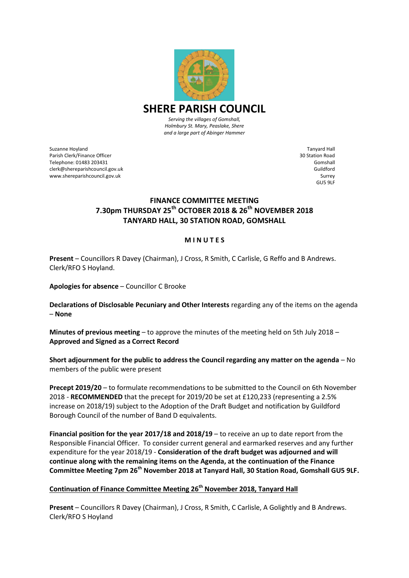

*Serving the villages of Gomshall, Holmbury St. Mary, Peaslake, Shere and a large part of Abinger Hammer*

Suzanne Hoyland Parish Clerk/Finance Officer Telephone: 01483 203431 clerk@shereparishcouncil.gov.uk www.shereparishcouncil.gov.uk

Tanyard Hall 30 Station Road Gomshall Guildford Surrey GU5 9LF

# **FINANCE COMMITTEE MEETING 7.30pm THURSDAY 25th OCTOBER 2018 & 26th NOVEMBER 2018 TANYARD HALL, 30 STATION ROAD, GOMSHALL**

#### **M I N U T E S**

**Present** – Councillors R Davey (Chairman), J Cross, R Smith, C Carlisle, G Reffo and B Andrews. Clerk/RFO S Hoyland.

**Apologies for absence** – Councillor C Brooke

**Declarations of Disclosable Pecuniary and Other Interests** regarding any of the items on the agenda – **None**

**Minutes of previous meeting** – to approve the minutes of the meeting held on 5th July 2018 – **Approved and Signed as a Correct Record**

**Short adjournment for the public to address the Council regarding any matter on the agenda** – No members of the public were present

**Precept 2019/20** – to formulate recommendations to be submitted to the Council on 6th November 2018 - **RECOMMENDED** that the precept for 2019/20 be set at £120,233 (representing a 2.5% increase on 2018/19) subject to the Adoption of the Draft Budget and notification by Guildford Borough Council of the number of Band D equivalents.

**Financial position for the year 2017/18 and 2018/19** – to receive an up to date report from the Responsible Financial Officer. To consider current general and earmarked reserves and any further expenditure for the year 2018/19 - **Consideration of the draft budget was adjourned and will continue along with the remaining items on the Agenda, at the continuation of the Finance Committee Meeting 7pm 26th November 2018 at Tanyard Hall, 30 Station Road, Gomshall GU5 9LF.** 

## **Continuation of Finance Committee Meeting 26th November 2018, Tanyard Hall**

**Present** – Councillors R Davey (Chairman), J Cross, R Smith, C Carlisle, A Golightly and B Andrews. Clerk/RFO S Hoyland